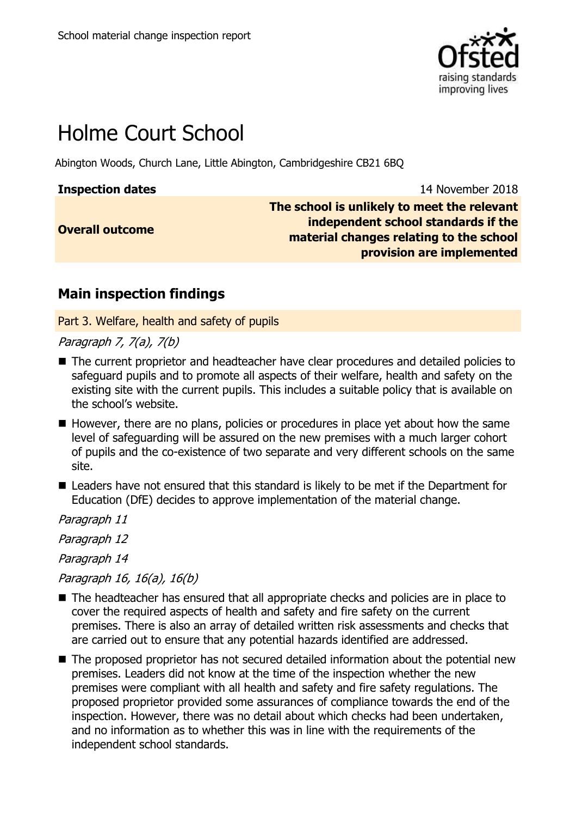

# Holme Court School

Abington Woods, Church Lane, Little Abington, Cambridgeshire CB21 6BQ

| <b>Inspection dates</b> |  |
|-------------------------|--|
|                         |  |

**Inspection dates** 14 November 2018

**Overall outcome**

**The school is unlikely to meet the relevant independent school standards if the material changes relating to the school provision are implemented**

## **Main inspection findings**

Part 3. Welfare, health and safety of pupils

Paragraph 7, 7(a), 7(b)

- The current proprietor and headteacher have clear procedures and detailed policies to safeguard pupils and to promote all aspects of their welfare, health and safety on the existing site with the current pupils. This includes a suitable policy that is available on the school"s website.
- $\blacksquare$  However, there are no plans, policies or procedures in place yet about how the same level of safeguarding will be assured on the new premises with a much larger cohort of pupils and the co-existence of two separate and very different schools on the same site.
- Leaders have not ensured that this standard is likely to be met if the Department for Education (DfE) decides to approve implementation of the material change.

Paragraph 11

Paragraph 12

Paragraph 14

Paragraph 16, 16(a), 16(b)

- The headteacher has ensured that all appropriate checks and policies are in place to cover the required aspects of health and safety and fire safety on the current premises. There is also an array of detailed written risk assessments and checks that are carried out to ensure that any potential hazards identified are addressed.
- The proposed proprietor has not secured detailed information about the potential new premises. Leaders did not know at the time of the inspection whether the new premises were compliant with all health and safety and fire safety regulations. The proposed proprietor provided some assurances of compliance towards the end of the inspection. However, there was no detail about which checks had been undertaken, and no information as to whether this was in line with the requirements of the independent school standards.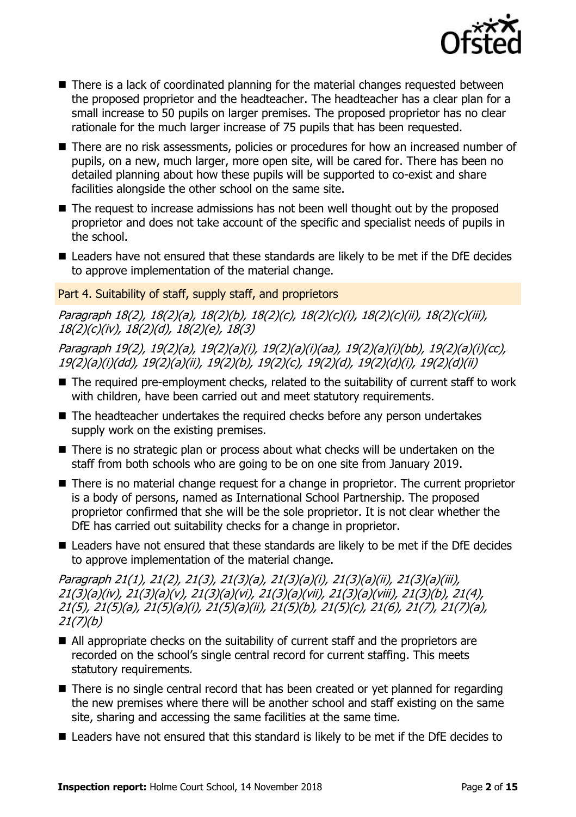

- There is a lack of coordinated planning for the material changes requested between the proposed proprietor and the headteacher. The headteacher has a clear plan for a small increase to 50 pupils on larger premises. The proposed proprietor has no clear rationale for the much larger increase of 75 pupils that has been requested.
- There are no risk assessments, policies or procedures for how an increased number of pupils, on a new, much larger, more open site, will be cared for. There has been no detailed planning about how these pupils will be supported to co-exist and share facilities alongside the other school on the same site.
- The request to increase admissions has not been well thought out by the proposed proprietor and does not take account of the specific and specialist needs of pupils in the school.
- Leaders have not ensured that these standards are likely to be met if the DfE decides to approve implementation of the material change.

Part 4. Suitability of staff, supply staff, and proprietors

Paragraph 18(2), 18(2)(a), 18(2)(b), 18(2)(c), 18(2)(c)(i), 18(2)(c)(ii), 18(2)(c)(iii), 18(2)(c)(iv), 18(2)(d), 18(2)(e), 18(3)

Paragraph 19(2), 19(2)(a), 19(2)(a)(i), 19(2)(a)(i)(aa), 19(2)(a)(i)(bb), 19(2)(a)(i)(cc), 19(2)(a)(i)(dd), 19(2)(a)(ii), 19(2)(b), 19(2)(c), 19(2)(d), 19(2)(d)(i), 19(2)(d)(ii)

- The required pre-employment checks, related to the suitability of current staff to work with children, have been carried out and meet statutory requirements.
- The headteacher undertakes the required checks before any person undertakes supply work on the existing premises.
- There is no strategic plan or process about what checks will be undertaken on the staff from both schools who are going to be on one site from January 2019.
- There is no material change request for a change in proprietor. The current proprietor is a body of persons, named as International School Partnership. The proposed proprietor confirmed that she will be the sole proprietor. It is not clear whether the DfE has carried out suitability checks for a change in proprietor.
- Leaders have not ensured that these standards are likely to be met if the DfE decides to approve implementation of the material change.

Paragraph 21(1), 21(2), 21(3), 21(3)(a), 21(3)(a)(i), 21(3)(a)(ii), 21(3)(a)(iii), 21(3)(a)(iv), 21(3)(a)(v), 21(3)(a)(vi), 21(3)(a)(vii), 21(3)(a)(viii), 21(3)(b), 21(4), 21(5), 21(5)(a), 21(5)(a)(i), 21(5)(a)(ii), 21(5)(b), 21(5)(c), 21(6), 21(7), 21(7)(a), 21(7)(b)

- All appropriate checks on the suitability of current staff and the proprietors are recorded on the school"s single central record for current staffing. This meets statutory requirements.
- There is no single central record that has been created or yet planned for regarding the new premises where there will be another school and staff existing on the same site, sharing and accessing the same facilities at the same time.
- Leaders have not ensured that this standard is likely to be met if the DfE decides to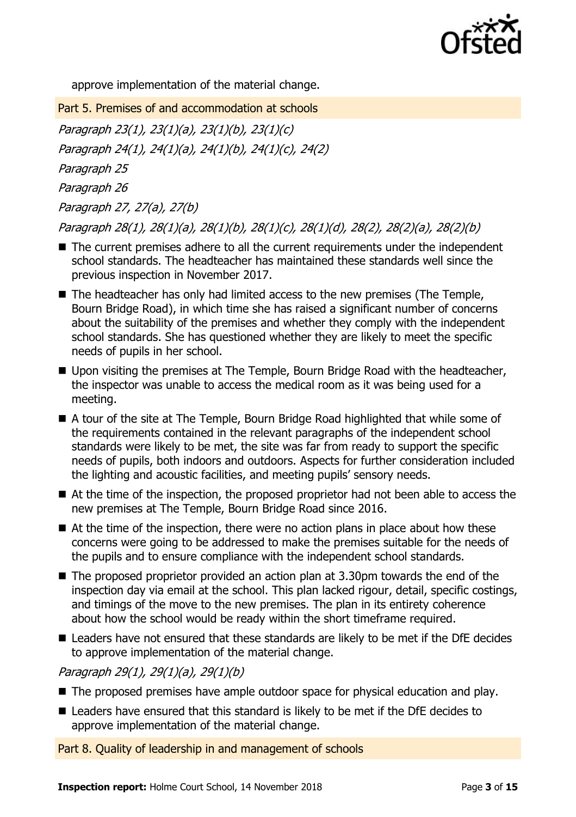

approve implementation of the material change.

Part 5. Premises of and accommodation at schools Paragraph 23(1), 23(1)(a), 23(1)(b), 23(1)(c) Paragraph 24(1), 24(1)(a), 24(1)(b), 24(1)(c), 24(2) Paragraph 25 Paragraph 26 Paragraph 27, 27(a), 27(b) Paragraph 28(1), 28(1)(a), 28(1)(b), 28(1)(c), 28(1)(d), 28(2), 28(2)(a), 28(2)(b)

- The current premises adhere to all the current requirements under the independent school standards. The headteacher has maintained these standards well since the previous inspection in November 2017.
- The headteacher has only had limited access to the new premises (The Temple, Bourn Bridge Road), in which time she has raised a significant number of concerns about the suitability of the premises and whether they comply with the independent school standards. She has questioned whether they are likely to meet the specific needs of pupils in her school.
- Upon visiting the premises at The Temple, Bourn Bridge Road with the headteacher, the inspector was unable to access the medical room as it was being used for a meeting.
- A tour of the site at The Temple, Bourn Bridge Road highlighted that while some of the requirements contained in the relevant paragraphs of the independent school standards were likely to be met, the site was far from ready to support the specific needs of pupils, both indoors and outdoors. Aspects for further consideration included the lighting and acoustic facilities, and meeting pupils' sensory needs.
- At the time of the inspection, the proposed proprietor had not been able to access the new premises at The Temple, Bourn Bridge Road since 2016.
- $\blacksquare$  At the time of the inspection, there were no action plans in place about how these concerns were going to be addressed to make the premises suitable for the needs of the pupils and to ensure compliance with the independent school standards.
- $\blacksquare$  The proposed proprietor provided an action plan at 3.30pm towards the end of the inspection day via email at the school. This plan lacked rigour, detail, specific costings, and timings of the move to the new premises. The plan in its entirety coherence about how the school would be ready within the short timeframe required.
- Leaders have not ensured that these standards are likely to be met if the DfE decides to approve implementation of the material change.

Paragraph 29(1), 29(1)(a), 29(1)(b)

- The proposed premises have ample outdoor space for physical education and play.
- Leaders have ensured that this standard is likely to be met if the DfE decides to approve implementation of the material change.

Part 8. Quality of leadership in and management of schools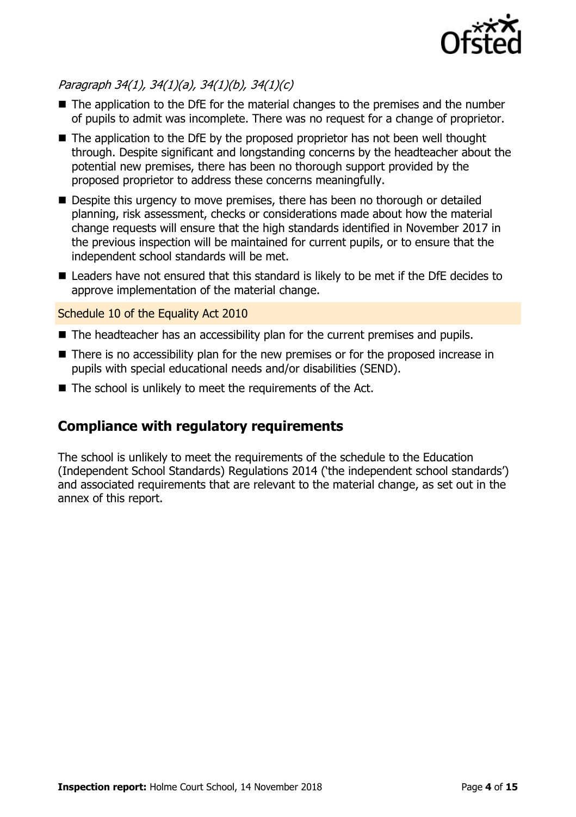

### Paragraph 34(1), 34(1)(a), 34(1)(b), 34(1)(c)

- The application to the DfE for the material changes to the premises and the number of pupils to admit was incomplete. There was no request for a change of proprietor.
- The application to the DfE by the proposed proprietor has not been well thought through. Despite significant and longstanding concerns by the headteacher about the potential new premises, there has been no thorough support provided by the proposed proprietor to address these concerns meaningfully.
- Despite this urgency to move premises, there has been no thorough or detailed planning, risk assessment, checks or considerations made about how the material change requests will ensure that the high standards identified in November 2017 in the previous inspection will be maintained for current pupils, or to ensure that the independent school standards will be met.
- Leaders have not ensured that this standard is likely to be met if the DfE decides to approve implementation of the material change.

#### Schedule 10 of the Equality Act 2010

- The headteacher has an accessibility plan for the current premises and pupils.
- There is no accessibility plan for the new premises or for the proposed increase in pupils with special educational needs and/or disabilities (SEND).
- $\blacksquare$  The school is unlikely to meet the requirements of the Act.

## **Compliance with regulatory requirements**

The school is unlikely to meet the requirements of the schedule to the Education (Independent School Standards) Regulations 2014 ("the independent school standards") and associated requirements that are relevant to the material change, as set out in the annex of this report.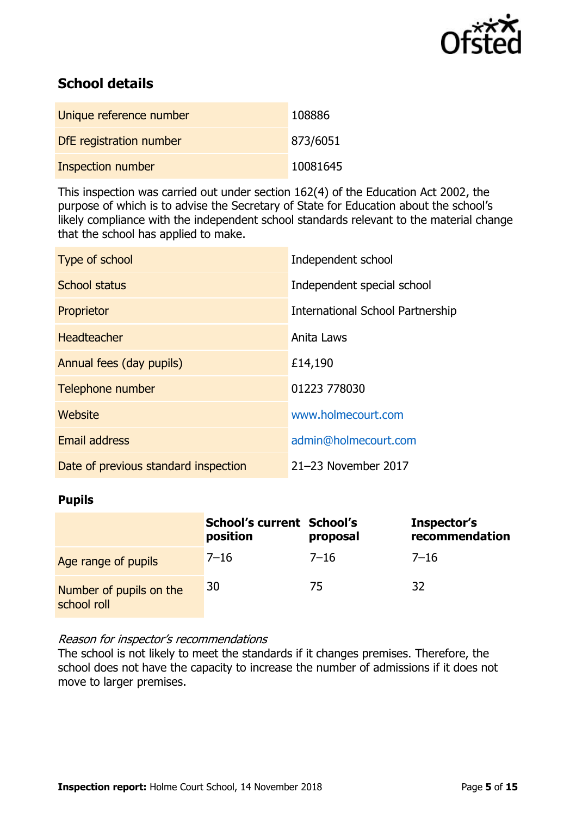

## **School details**

| Unique reference number  | 108886   |
|--------------------------|----------|
| DfE registration number  | 873/6051 |
| <b>Inspection number</b> | 10081645 |

This inspection was carried out under section 162(4) of the Education Act 2002, the purpose of which is to advise the Secretary of State for Education about the school"s likely compliance with the independent school standards relevant to the material change that the school has applied to make.

| Type of school                       | Independent school               |
|--------------------------------------|----------------------------------|
| <b>School status</b>                 | Independent special school       |
| Proprietor                           | International School Partnership |
| <b>Headteacher</b>                   | Anita Laws                       |
| Annual fees (day pupils)             | £14,190                          |
| Telephone number                     | 01223 778030                     |
| Website                              | www.holmecourt.com               |
| <b>Email address</b>                 | admin@holmecourt.com             |
| Date of previous standard inspection | 21-23 November 2017              |

#### **Pupils**

|                                        | <b>School's current School's</b><br>position | proposal | Inspector's<br>recommendation |
|----------------------------------------|----------------------------------------------|----------|-------------------------------|
| Age range of pupils                    | $7 - 16$                                     | $7 - 16$ | $7 - 16$                      |
| Number of pupils on the<br>school roll | 30                                           | 75       | 32                            |

#### Reason for inspector's recommendations

The school is not likely to meet the standards if it changes premises. Therefore, the school does not have the capacity to increase the number of admissions if it does not move to larger premises.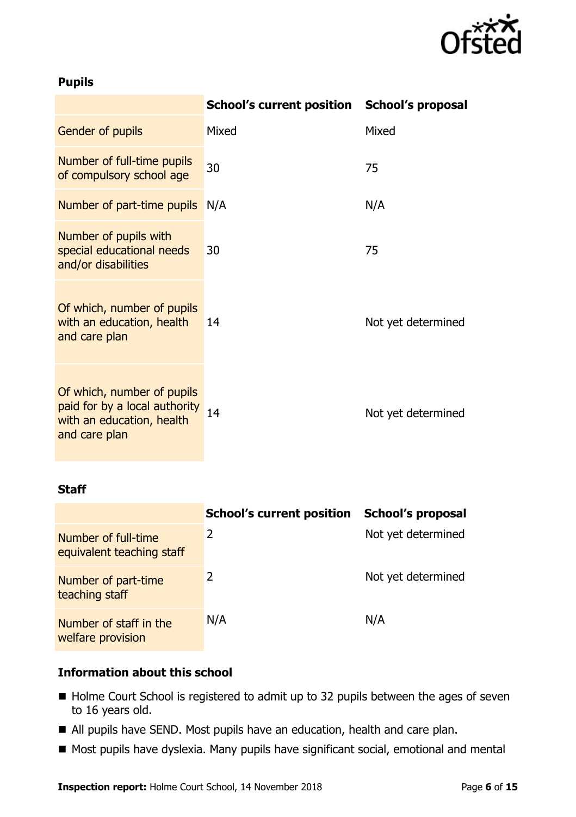

#### **Pupils**

|                                                                                                           | School's current position School's proposal |                    |
|-----------------------------------------------------------------------------------------------------------|---------------------------------------------|--------------------|
| Gender of pupils                                                                                          | Mixed                                       | Mixed              |
| Number of full-time pupils<br>of compulsory school age                                                    | 30                                          | 75                 |
| Number of part-time pupils                                                                                | N/A                                         | N/A                |
| Number of pupils with<br>special educational needs<br>and/or disabilities                                 | 30                                          | 75                 |
| Of which, number of pupils<br>with an education, health<br>and care plan                                  | 14                                          | Not yet determined |
| Of which, number of pupils<br>paid for by a local authority<br>with an education, health<br>and care plan | 14                                          | Not yet determined |

#### **Staff**

|                                                  | <b>School's current position</b> | School's proposal  |
|--------------------------------------------------|----------------------------------|--------------------|
| Number of full-time<br>equivalent teaching staff | 2                                | Not yet determined |
| Number of part-time<br>teaching staff            |                                  | Not yet determined |
| Number of staff in the<br>welfare provision      | N/A                              | N/A                |

#### **Information about this school**

- Holme Court School is registered to admit up to 32 pupils between the ages of seven to 16 years old.
- All pupils have SEND. Most pupils have an education, health and care plan.
- Most pupils have dyslexia. Many pupils have significant social, emotional and mental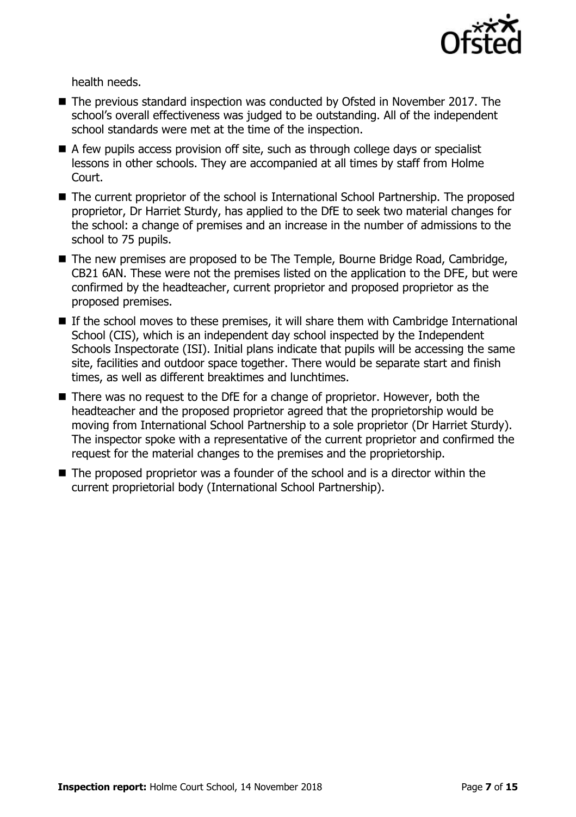

health needs.

- The previous standard inspection was conducted by Ofsted in November 2017. The school"s overall effectiveness was judged to be outstanding. All of the independent school standards were met at the time of the inspection.
- $\blacksquare$  A few pupils access provision off site, such as through college days or specialist lessons in other schools. They are accompanied at all times by staff from Holme Court.
- The current proprietor of the school is International School Partnership. The proposed proprietor, Dr Harriet Sturdy, has applied to the DfE to seek two material changes for the school: a change of premises and an increase in the number of admissions to the school to 75 pupils.
- The new premises are proposed to be The Temple, Bourne Bridge Road, Cambridge, CB21 6AN. These were not the premises listed on the application to the DFE, but were confirmed by the headteacher, current proprietor and proposed proprietor as the proposed premises.
- $\blacksquare$  If the school moves to these premises, it will share them with Cambridge International School (CIS), which is an independent day school inspected by the Independent Schools Inspectorate (ISI). Initial plans indicate that pupils will be accessing the same site, facilities and outdoor space together. There would be separate start and finish times, as well as different breaktimes and lunchtimes.
- There was no request to the DfE for a change of proprietor. However, both the headteacher and the proposed proprietor agreed that the proprietorship would be moving from International School Partnership to a sole proprietor (Dr Harriet Sturdy). The inspector spoke with a representative of the current proprietor and confirmed the request for the material changes to the premises and the proprietorship.
- The proposed proprietor was a founder of the school and is a director within the current proprietorial body (International School Partnership).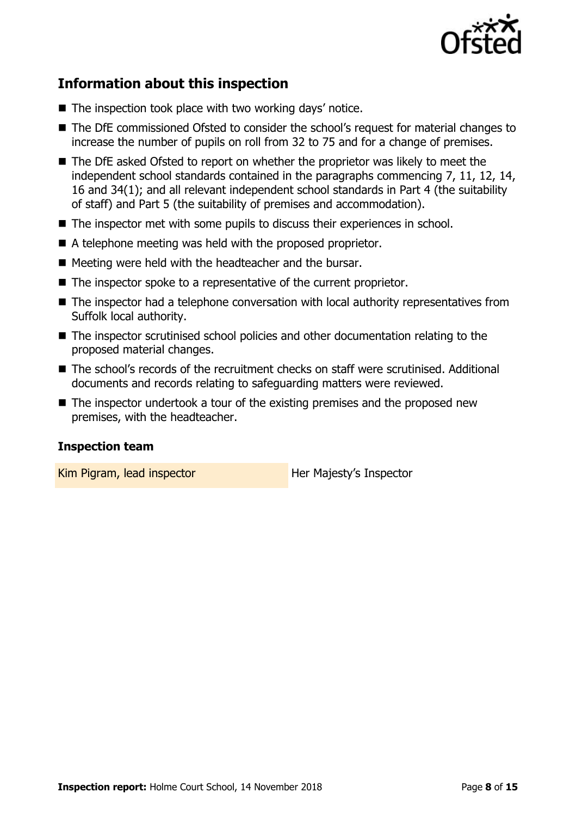

## **Information about this inspection**

- $\blacksquare$  The inspection took place with two working days' notice.
- The DfE commissioned Ofsted to consider the school's request for material changes to increase the number of pupils on roll from 32 to 75 and for a change of premises.
- The DfE asked Ofsted to report on whether the proprietor was likely to meet the independent school standards contained in the paragraphs commencing 7, 11, 12, 14, 16 and 34(1); and all relevant independent school standards in Part 4 (the suitability of staff) and Part 5 (the suitability of premises and accommodation).
- The inspector met with some pupils to discuss their experiences in school.
- A telephone meeting was held with the proposed proprietor.
- $\blacksquare$  Meeting were held with the headteacher and the bursar.
- The inspector spoke to a representative of the current proprietor.
- The inspector had a telephone conversation with local authority representatives from Suffolk local authority.
- The inspector scrutinised school policies and other documentation relating to the proposed material changes.
- The school's records of the recruitment checks on staff were scrutinised. Additional documents and records relating to safeguarding matters were reviewed.
- The inspector undertook a tour of the existing premises and the proposed new premises, with the headteacher.

#### **Inspection team**

Kim Pigram, lead inspector **Her Majesty's Inspector**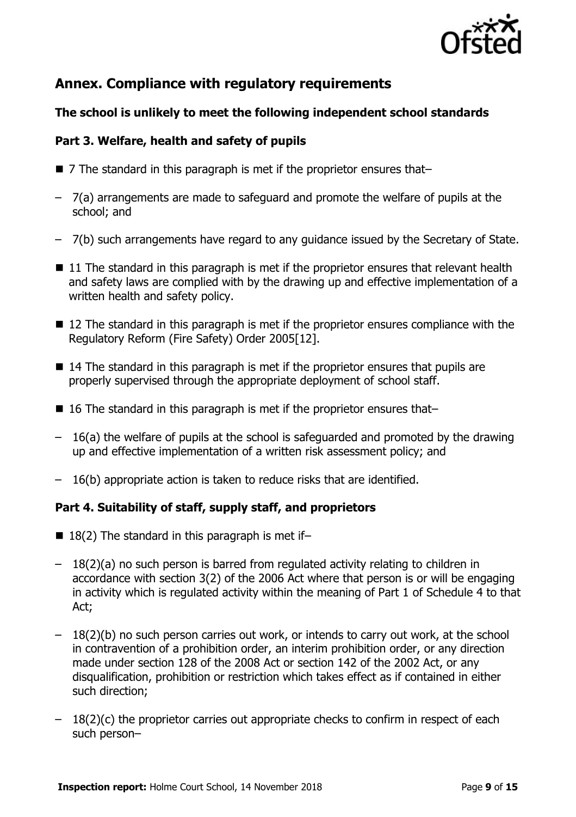

## **Annex. Compliance with regulatory requirements**

#### **The school is unlikely to meet the following independent school standards**

#### **Part 3. Welfare, health and safety of pupils**

- 7 The standard in this paragraph is met if the proprietor ensures that–
- 7(a) arrangements are made to safeguard and promote the welfare of pupils at the school; and
- 7(b) such arrangements have regard to any guidance issued by the Secretary of State.
- $\blacksquare$  11 The standard in this paragraph is met if the proprietor ensures that relevant health and safety laws are complied with by the drawing up and effective implementation of a written health and safety policy.
- 12 The standard in this paragraph is met if the proprietor ensures compliance with the Regulatory Reform (Fire Safety) Order 2005[12].
- 14 The standard in this paragraph is met if the proprietor ensures that pupils are properly supervised through the appropriate deployment of school staff.
- 16 The standard in this paragraph is met if the proprietor ensures that–
- 16(a) the welfare of pupils at the school is safeguarded and promoted by the drawing up and effective implementation of a written risk assessment policy; and
- 16(b) appropriate action is taken to reduce risks that are identified.

#### **Part 4. Suitability of staff, supply staff, and proprietors**

- $\blacksquare$  18(2) The standard in this paragraph is met if-
- 18(2)(a) no such person is barred from regulated activity relating to children in accordance with section 3(2) of the 2006 Act where that person is or will be engaging in activity which is regulated activity within the meaning of Part 1 of Schedule 4 to that Act;
- 18(2)(b) no such person carries out work, or intends to carry out work, at the school in contravention of a prohibition order, an interim prohibition order, or any direction made under section 128 of the 2008 Act or section 142 of the 2002 Act, or any disqualification, prohibition or restriction which takes effect as if contained in either such direction;
- $-18(2)(c)$  the proprietor carries out appropriate checks to confirm in respect of each such person–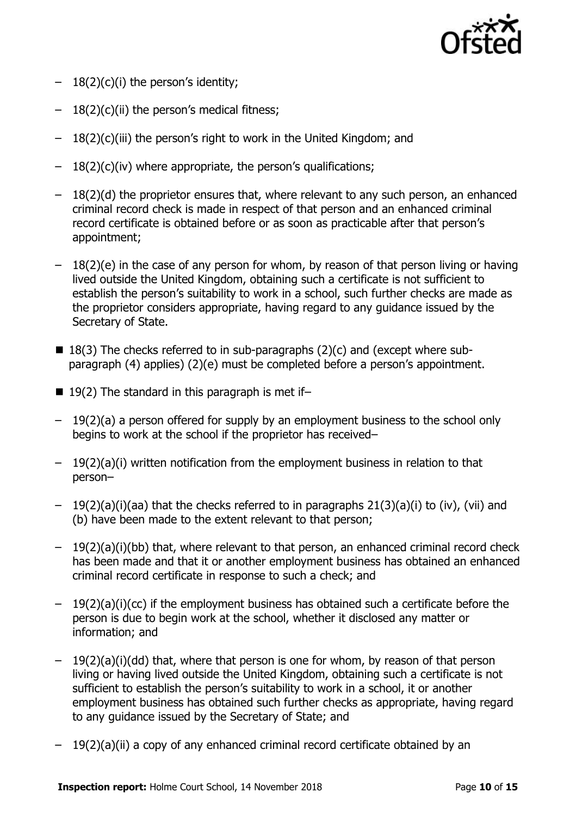

- $-18(2)(c)(i)$  the person's identity;
- $-18(2)(c)(ii)$  the person's medical fitness;
- $-18(2)(c)$ (iii) the person's right to work in the United Kingdom; and
- $-18(2)(c)(iv)$  where appropriate, the person's qualifications;
- 18(2)(d) the proprietor ensures that, where relevant to any such person, an enhanced criminal record check is made in respect of that person and an enhanced criminal record certificate is obtained before or as soon as practicable after that person"s appointment;
- $-18(2)(e)$  in the case of any person for whom, by reason of that person living or having lived outside the United Kingdom, obtaining such a certificate is not sufficient to establish the person's suitability to work in a school, such further checks are made as the proprietor considers appropriate, having regard to any guidance issued by the Secretary of State.
- $\blacksquare$  18(3) The checks referred to in sub-paragraphs (2)(c) and (except where subparagraph (4) applies) (2)(e) must be completed before a person"s appointment.
- $19(2)$  The standard in this paragraph is met if-
- 19(2)(a) a person offered for supply by an employment business to the school only begins to work at the school if the proprietor has received–
- $-19(2)(a)(i)$  written notification from the employment business in relation to that person–
- 19(2)(a)(i)(aa) that the checks referred to in paragraphs 21(3)(a)(i) to (iv), (vii) and (b) have been made to the extent relevant to that person;
- 19(2)(a)(i)(bb) that, where relevant to that person, an enhanced criminal record check has been made and that it or another employment business has obtained an enhanced criminal record certificate in response to such a check; and
- 19(2)(a)(i)(cc) if the employment business has obtained such a certificate before the person is due to begin work at the school, whether it disclosed any matter or information; and
- 19(2)(a)(i)(dd) that, where that person is one for whom, by reason of that person living or having lived outside the United Kingdom, obtaining such a certificate is not sufficient to establish the person's suitability to work in a school, it or another employment business has obtained such further checks as appropriate, having regard to any guidance issued by the Secretary of State; and
- 19(2)(a)(ii) a copy of any enhanced criminal record certificate obtained by an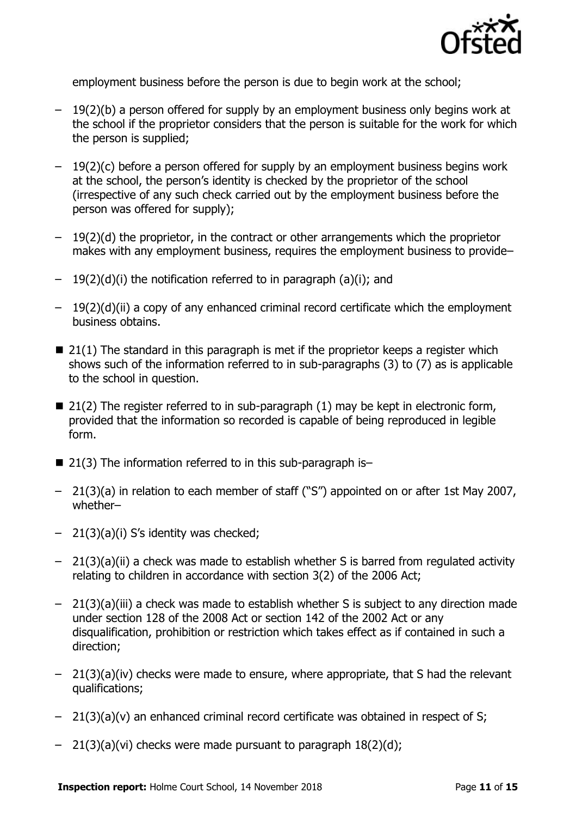

employment business before the person is due to begin work at the school;

- 19(2)(b) a person offered for supply by an employment business only begins work at the school if the proprietor considers that the person is suitable for the work for which the person is supplied;
- $-19(2)(c)$  before a person offered for supply by an employment business begins work at the school, the person"s identity is checked by the proprietor of the school (irrespective of any such check carried out by the employment business before the person was offered for supply);
- $-19(2)(d)$  the proprietor, in the contract or other arrangements which the proprietor makes with any employment business, requires the employment business to provide–
- 19(2)(d)(i) the notification referred to in paragraph (a)(i); and
- $-19(2)(d)(ii)$  a copy of any enhanced criminal record certificate which the employment business obtains.
- $\blacksquare$  21(1) The standard in this paragraph is met if the proprietor keeps a register which shows such of the information referred to in sub-paragraphs (3) to (7) as is applicable to the school in question.
- $\blacksquare$  21(2) The register referred to in sub-paragraph (1) may be kept in electronic form, provided that the information so recorded is capable of being reproduced in legible form.
- $\blacksquare$  21(3) The information referred to in this sub-paragraph is-
- 21(3)(a) in relation to each member of staff ("S") appointed on or after 1st May 2007, whether–
- $-21(3)(a)(i)$  S's identity was checked;
- 21(3)(a)(ii) a check was made to establish whether S is barred from regulated activity relating to children in accordance with section 3(2) of the 2006 Act;
- 21(3)(a)(iii) a check was made to establish whether S is subject to any direction made under section 128 of the 2008 Act or section 142 of the 2002 Act or any disqualification, prohibition or restriction which takes effect as if contained in such a direction;
- 21(3)(a)(iv) checks were made to ensure, where appropriate, that S had the relevant qualifications;
- $-$  21(3)(a)(v) an enhanced criminal record certificate was obtained in respect of S;
- $-$  21(3)(a)(vi) checks were made pursuant to paragraph  $18(2)(d)$ ;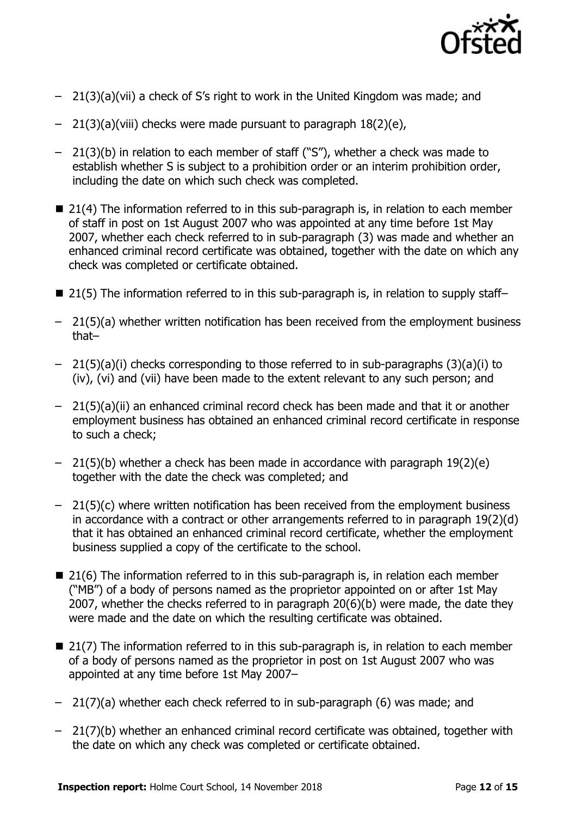

- 21(3)(a)(vii) a check of S"s right to work in the United Kingdom was made; and
- 21(3)(a)(viii) checks were made pursuant to paragraph 18(2)(e),
- 21(3)(b) in relation to each member of staff ("S"), whether a check was made to establish whether S is subject to a prohibition order or an interim prohibition order, including the date on which such check was completed.
- 21(4) The information referred to in this sub-paragraph is, in relation to each member of staff in post on 1st August 2007 who was appointed at any time before 1st May 2007, whether each check referred to in sub-paragraph (3) was made and whether an enhanced criminal record certificate was obtained, together with the date on which any check was completed or certificate obtained.
- $\blacksquare$  21(5) The information referred to in this sub-paragraph is, in relation to supply staff-
- 21(5)(a) whether written notification has been received from the employment business that–
- 21(5)(a)(i) checks corresponding to those referred to in sub-paragraphs (3)(a)(i) to (iv), (vi) and (vii) have been made to the extent relevant to any such person; and
- 21(5)(a)(ii) an enhanced criminal record check has been made and that it or another employment business has obtained an enhanced criminal record certificate in response to such a check;
- 21(5)(b) whether a check has been made in accordance with paragraph 19(2)(e) together with the date the check was completed; and
- $-$  21(5)(c) where written notification has been received from the employment business in accordance with a contract or other arrangements referred to in paragraph 19(2)(d) that it has obtained an enhanced criminal record certificate, whether the employment business supplied a copy of the certificate to the school.
- $\blacksquare$  21(6) The information referred to in this sub-paragraph is, in relation each member ("MB") of a body of persons named as the proprietor appointed on or after 1st May 2007, whether the checks referred to in paragraph 20(6)(b) were made, the date they were made and the date on which the resulting certificate was obtained.
- $\blacksquare$  21(7) The information referred to in this sub-paragraph is, in relation to each member of a body of persons named as the proprietor in post on 1st August 2007 who was appointed at any time before 1st May 2007–
- 21(7)(a) whether each check referred to in sub-paragraph (6) was made; and
- 21(7)(b) whether an enhanced criminal record certificate was obtained, together with the date on which any check was completed or certificate obtained.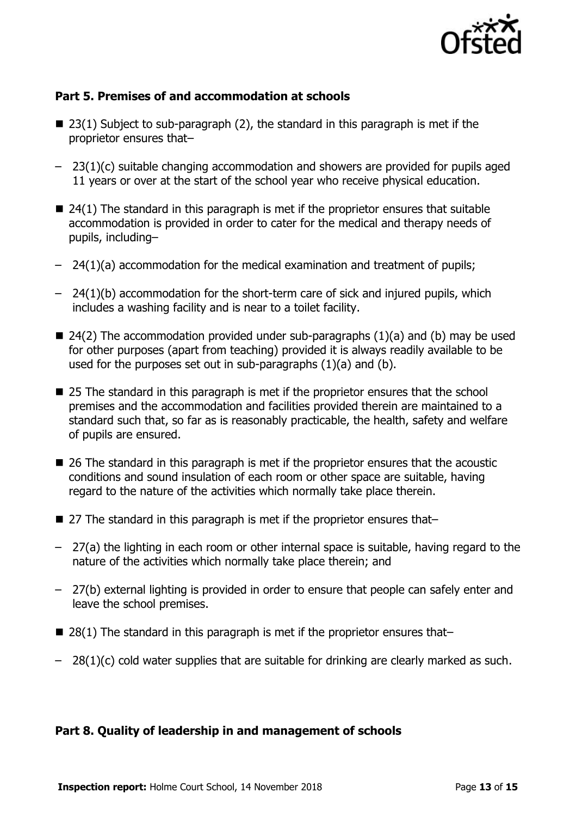

#### **Part 5. Premises of and accommodation at schools**

- $\blacksquare$  23(1) Subject to sub-paragraph (2), the standard in this paragraph is met if the proprietor ensures that–
- 23(1)(c) suitable changing accommodation and showers are provided for pupils aged 11 years or over at the start of the school year who receive physical education.
- $\blacksquare$  24(1) The standard in this paragraph is met if the proprietor ensures that suitable accommodation is provided in order to cater for the medical and therapy needs of pupils, including–
- 24(1)(a) accommodation for the medical examination and treatment of pupils;
- 24(1)(b) accommodation for the short-term care of sick and injured pupils, which includes a washing facility and is near to a toilet facility.
- $\blacksquare$  24(2) The accommodation provided under sub-paragraphs (1)(a) and (b) may be used for other purposes (apart from teaching) provided it is always readily available to be used for the purposes set out in sub-paragraphs (1)(a) and (b).
- 25 The standard in this paragraph is met if the proprietor ensures that the school premises and the accommodation and facilities provided therein are maintained to a standard such that, so far as is reasonably practicable, the health, safety and welfare of pupils are ensured.
- 26 The standard in this paragraph is met if the proprietor ensures that the acoustic conditions and sound insulation of each room or other space are suitable, having regard to the nature of the activities which normally take place therein.
- 27 The standard in this paragraph is met if the proprietor ensures that–
- 27(a) the lighting in each room or other internal space is suitable, having regard to the nature of the activities which normally take place therein; and
- 27(b) external lighting is provided in order to ensure that people can safely enter and leave the school premises.
- $\blacksquare$  28(1) The standard in this paragraph is met if the proprietor ensures that-
- $-$  28(1)(c) cold water supplies that are suitable for drinking are clearly marked as such.

#### **Part 8. Quality of leadership in and management of schools**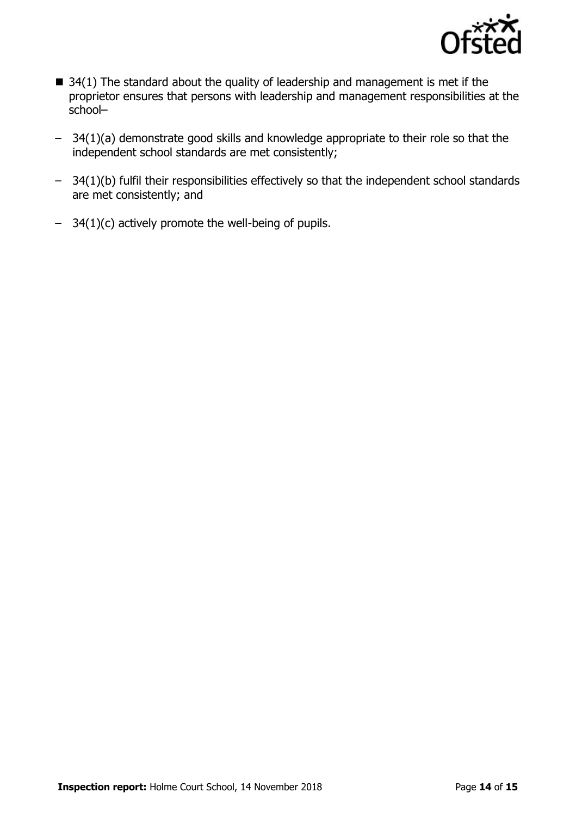

- $\blacksquare$  34(1) The standard about the quality of leadership and management is met if the proprietor ensures that persons with leadership and management responsibilities at the school–
- 34(1)(a) demonstrate good skills and knowledge appropriate to their role so that the independent school standards are met consistently;
- 34(1)(b) fulfil their responsibilities effectively so that the independent school standards are met consistently; and
- 34(1)(c) actively promote the well-being of pupils.